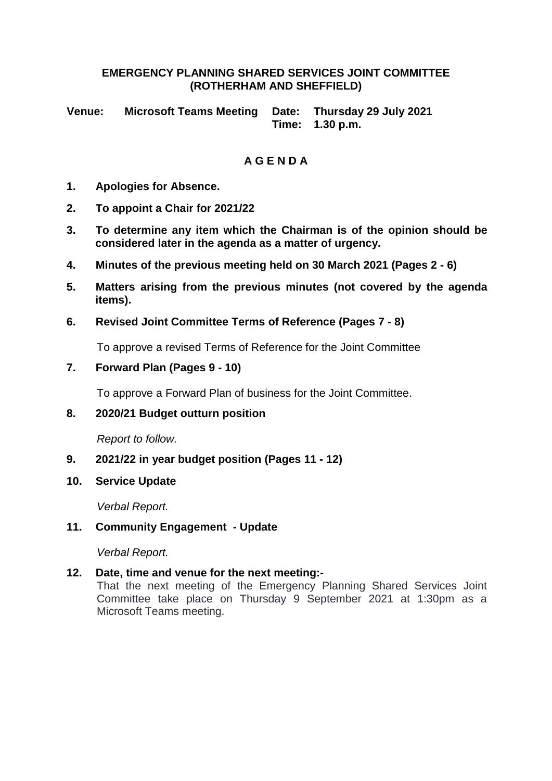#### **EMERGENCY PLANNING SHARED SERVICES JOINT COMMITTEE (ROTHERHAM AND SHEFFIELD)**

**Venue: Microsoft Teams Meeting Date: Thursday 29 July 2021 Time: 1.30 p.m.**

# **A G E N D A**

- **1. Apologies for Absence.**
- **2. To appoint a Chair for 2021/22**
- **3. To determine any item which the Chairman is of the opinion should be considered later in the agenda as a matter of urgency.**
- **4. Minutes of the previous meeting held on 30 March 2021 (Pages 2 - 6)**
- **5. Matters arising from the previous minutes (not covered by the agenda items).**
- **6. Revised Joint Committee Terms of Reference (Pages 7 - 8)**

To approve a revised Terms of Reference for the Joint Committee

**7. Forward Plan (Pages 9 - 10)**

To approve a Forward Plan of business for the Joint Committee.

**8. 2020/21 Budget outturn position**

*Report to follow.*

- **9. 2021/22 in year budget position (Pages 11 - 12)**
- **10. Service Update**

*Verbal Report.*

#### **11. Community Engagement - Update**

*Verbal Report.* 

#### **12. Date, time and venue for the next meeting:-**

That the next meeting of the Emergency Planning Shared Services Joint Committee take place on Thursday 9 September 2021 at 1:30pm as a Microsoft Teams meeting.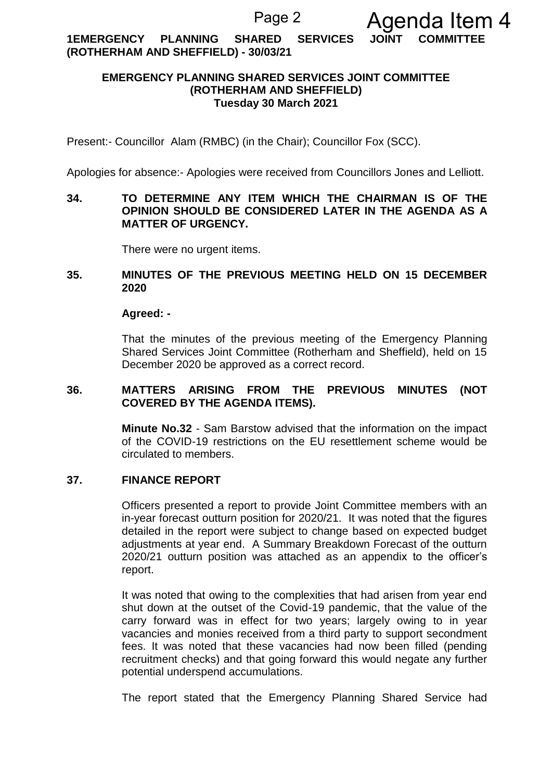**1EMERGENCY PLANNING SHARED SERVICES JOINT COMMITTEE (ROTHERHAM AND SHEFFIELD) - 30/03/21**

#### **EMERGENCY PLANNING SHARED SERVICES JOINT COMMITTEE (ROTHERHAM AND SHEFFIELD) Tuesday 30 March 2021**

Present:- Councillor Alam (RMBC) (in the Chair); Councillor Fox (SCC).

Apologies for absence:- Apologies were received from Councillors Jones and Lelliott.

#### **34. TO DETERMINE ANY ITEM WHICH THE CHAIRMAN IS OF THE OPINION SHOULD BE CONSIDERED LATER IN THE AGENDA AS A MATTER OF URGENCY.**

There were no urgent items.

#### **35. MINUTES OF THE PREVIOUS MEETING HELD ON 15 DECEMBER 2020**

#### **Agreed: -**

That the minutes of the previous meeting of the Emergency Planning Shared Services Joint Committee (Rotherham and Sheffield), held on 15 December 2020 be approved as a correct record.

#### **36. MATTERS ARISING FROM THE PREVIOUS MINUTES (NOT COVERED BY THE AGENDA ITEMS).**

**Minute No.32** - Sam Barstow advised that the information on the impact of the COVID-19 restrictions on the EU resettlement scheme would be circulated to members.

#### **37. FINANCE REPORT**

Officers presented a report to provide Joint Committee members with an in-year forecast outturn position for 2020/21. It was noted that the figures detailed in the report were subject to change based on expected budget adjustments at year end. A Summary Breakdown Forecast of the outturn 2020/21 outturn position was attached as an appendix to the officer's report.

It was noted that owing to the complexities that had arisen from year end shut down at the outset of the Covid-19 pandemic, that the value of the carry forward was in effect for two years; largely owing to in year vacancies and monies received from a third party to support secondment fees. It was noted that these vacancies had now been filled (pending recruitment checks) and that going forward this would negate any further potential underspend accumulations.

The report stated that the Emergency Planning Shared Service had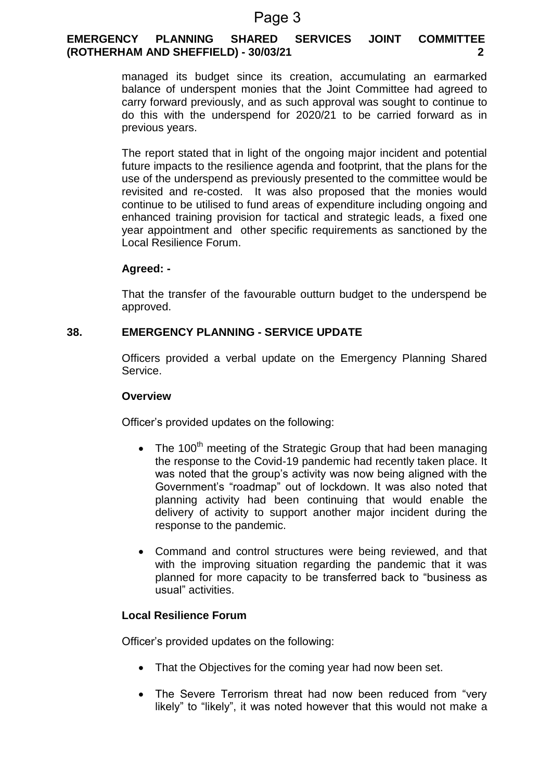# **EMERGENCY PLANNING SHARED SERVICES JOINT COMMITTEE (ROTHERHAM AND SHEFFIELD) - 30/03/21 2**

managed its budget since its creation, accumulating an earmarked balance of underspent monies that the Joint Committee had agreed to carry forward previously, and as such approval was sought to continue to do this with the underspend for 2020/21 to be carried forward as in previous years.

The report stated that in light of the ongoing major incident and potential future impacts to the resilience agenda and footprint, that the plans for the use of the underspend as previously presented to the committee would be revisited and re-costed. It was also proposed that the monies would continue to be utilised to fund areas of expenditure including ongoing and enhanced training provision for tactical and strategic leads, a fixed one year appointment and other specific requirements as sanctioned by the Local Resilience Forum.

# **Agreed: -**

That the transfer of the favourable outturn budget to the underspend be approved.

# **38. EMERGENCY PLANNING - SERVICE UPDATE**

Officers provided a verbal update on the Emergency Planning Shared Service.

#### **Overview**

Officer's provided updates on the following:

- The 100<sup>th</sup> meeting of the Strategic Group that had been managing the response to the Covid-19 pandemic had recently taken place. It was noted that the group's activity was now being aligned with the Government's "roadmap" out of lockdown. It was also noted that planning activity had been continuing that would enable the delivery of activity to support another major incident during the response to the pandemic.
- Command and control structures were being reviewed, and that with the improving situation regarding the pandemic that it was planned for more capacity to be transferred back to "business as usual" activities.

# **Local Resilience Forum**

Officer's provided updates on the following:

- That the Objectives for the coming year had now been set.
- The Severe Terrorism threat had now been reduced from "very likely" to "likely", it was noted however that this would not make a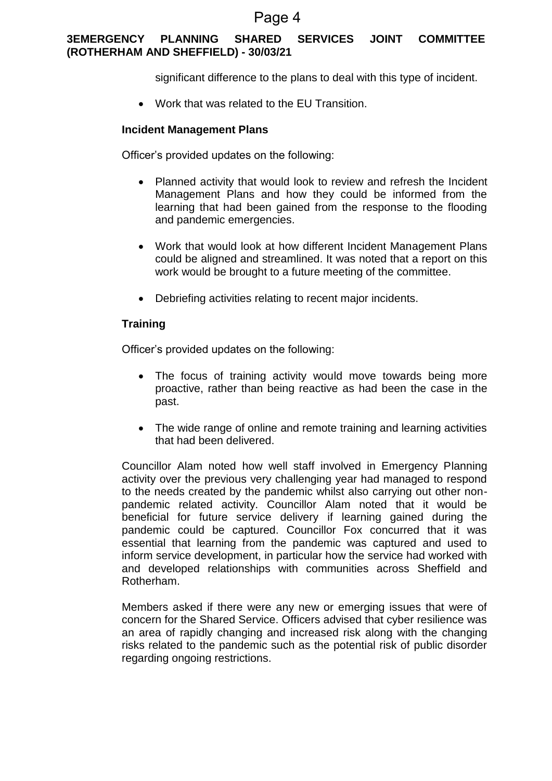# **3EMERGENCY PLANNING SHARED SERVICES JOINT COMMITTEE (ROTHERHAM AND SHEFFIELD) - 30/03/21**

significant difference to the plans to deal with this type of incident.

Work that was related to the EU Transition.

#### **Incident Management Plans**

Officer's provided updates on the following:

- Planned activity that would look to review and refresh the Incident Management Plans and how they could be informed from the learning that had been gained from the response to the flooding and pandemic emergencies.
- Work that would look at how different Incident Management Plans could be aligned and streamlined. It was noted that a report on this work would be brought to a future meeting of the committee.
- Debriefing activities relating to recent major incidents.

# **Training**

Officer's provided updates on the following:

- The focus of training activity would move towards being more proactive, rather than being reactive as had been the case in the past.
- The wide range of online and remote training and learning activities that had been delivered.

Councillor Alam noted how well staff involved in Emergency Planning activity over the previous very challenging year had managed to respond to the needs created by the pandemic whilst also carrying out other nonpandemic related activity. Councillor Alam noted that it would be beneficial for future service delivery if learning gained during the pandemic could be captured. Councillor Fox concurred that it was essential that learning from the pandemic was captured and used to inform service development, in particular how the service had worked with and developed relationships with communities across Sheffield and Rotherham.

Members asked if there were any new or emerging issues that were of concern for the Shared Service. Officers advised that cyber resilience was an area of rapidly changing and increased risk along with the changing risks related to the pandemic such as the potential risk of public disorder regarding ongoing restrictions.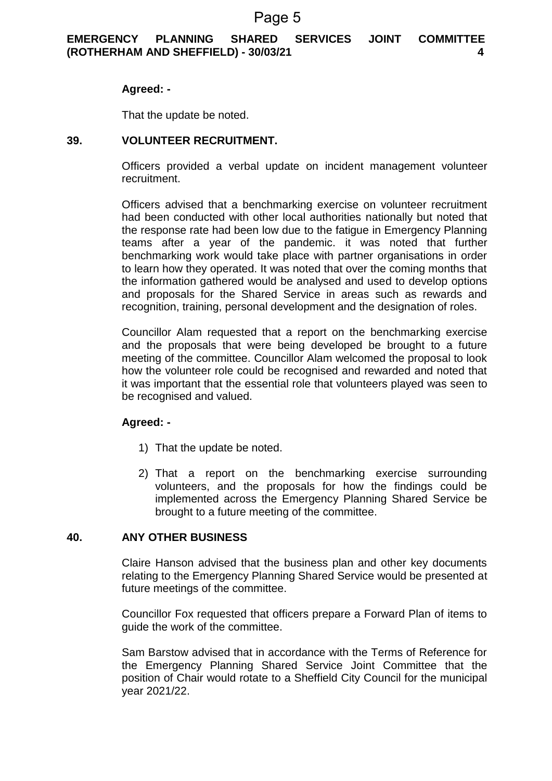# **EMERGENCY PLANNING SHARED SERVICES JOINT COMMITTEE (ROTHERHAM AND SHEFFIELD) - 30/03/21 4**

#### **Agreed: -**

That the update be noted.

#### **39. VOLUNTEER RECRUITMENT.**

Officers provided a verbal update on incident management volunteer recruitment.

Officers advised that a benchmarking exercise on volunteer recruitment had been conducted with other local authorities nationally but noted that the response rate had been low due to the fatigue in Emergency Planning teams after a year of the pandemic. it was noted that further benchmarking work would take place with partner organisations in order to learn how they operated. It was noted that over the coming months that the information gathered would be analysed and used to develop options and proposals for the Shared Service in areas such as rewards and recognition, training, personal development and the designation of roles.

Councillor Alam requested that a report on the benchmarking exercise and the proposals that were being developed be brought to a future meeting of the committee. Councillor Alam welcomed the proposal to look how the volunteer role could be recognised and rewarded and noted that it was important that the essential role that volunteers played was seen to be recognised and valued.

#### **Agreed: -**

- 1) That the update be noted.
- 2) That a report on the benchmarking exercise surrounding volunteers, and the proposals for how the findings could be implemented across the Emergency Planning Shared Service be brought to a future meeting of the committee.

#### **40. ANY OTHER BUSINESS**

Claire Hanson advised that the business plan and other key documents relating to the Emergency Planning Shared Service would be presented at future meetings of the committee.

Councillor Fox requested that officers prepare a Forward Plan of items to guide the work of the committee.

Sam Barstow advised that in accordance with the Terms of Reference for the Emergency Planning Shared Service Joint Committee that the position of Chair would rotate to a Sheffield City Council for the municipal year 2021/22.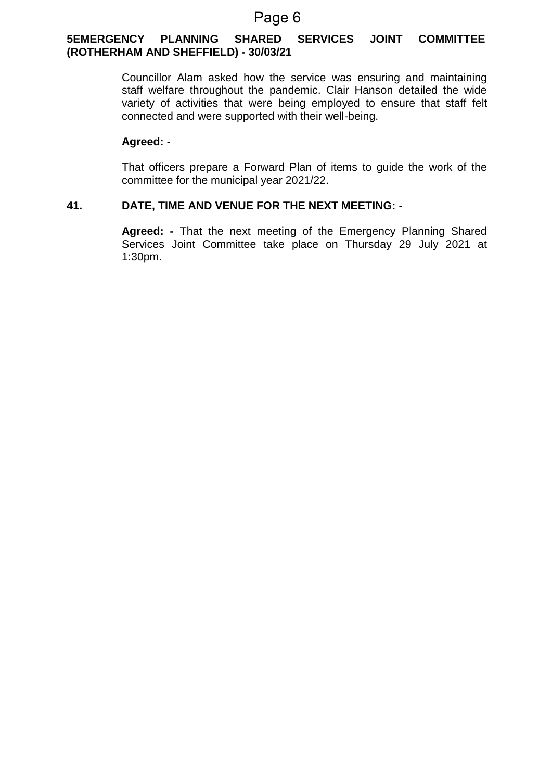#### **5EMERGENCY PLANNING SHARED SERVICES JOINT COMMITTEE (ROTHERHAM AND SHEFFIELD) - 30/03/21**

Councillor Alam asked how the service was ensuring and maintaining staff welfare throughout the pandemic. Clair Hanson detailed the wide variety of activities that were being employed to ensure that staff felt connected and were supported with their well-being.

#### **Agreed: -**

That officers prepare a Forward Plan of items to guide the work of the committee for the municipal year 2021/22.

# **41. DATE, TIME AND VENUE FOR THE NEXT MEETING: -**

**Agreed: -** That the next meeting of the Emergency Planning Shared Services Joint Committee take place on Thursday 29 July 2021 at 1:30pm.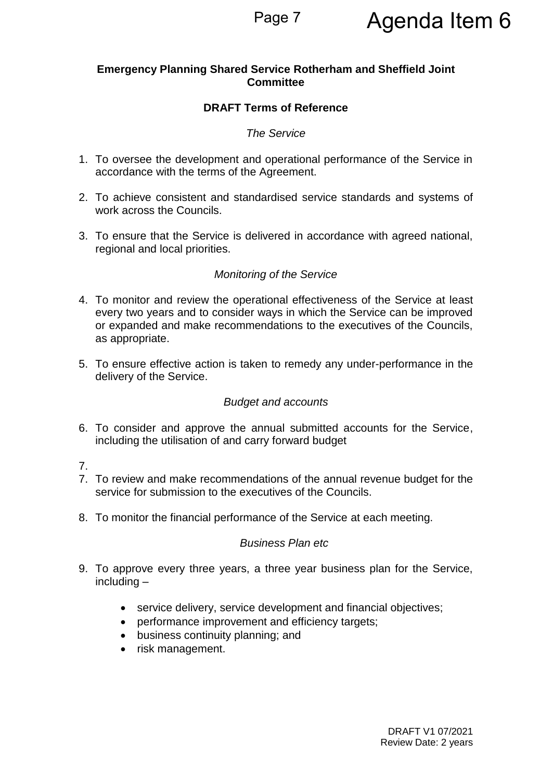# **Emergency Planning Shared Service Rotherham and Sheffield Joint Committee**

# **DRAFT Terms of Reference**

# *The Service*

- 1. To oversee the development and operational performance of the Service in accordance with the terms of the Agreement.
- 2. To achieve consistent and standardised service standards and systems of work across the Councils.
- 3. To ensure that the Service is delivered in accordance with agreed national, regional and local priorities.

# *Monitoring of the Service*

- 4. To monitor and review the operational effectiveness of the Service at least every two years and to consider ways in which the Service can be improved or expanded and make recommendations to the executives of the Councils, as appropriate.
- 5. To ensure effective action is taken to remedy any under-performance in the delivery of the Service.

# *Budget and accounts*

- 6. To consider and approve the annual submitted accounts for the Service, including the utilisation of and carry forward budget
- 7.
- 7. To review and make recommendations of the annual revenue budget for the service for submission to the executives of the Councils.
- 8. To monitor the financial performance of the Service at each meeting.

# *Business Plan etc*

- 9. To approve every three years, a three year business plan for the Service, including –
	- service delivery, service development and financial objectives;
	- performance improvement and efficiency targets;
	- business continuity planning; and
	- risk management.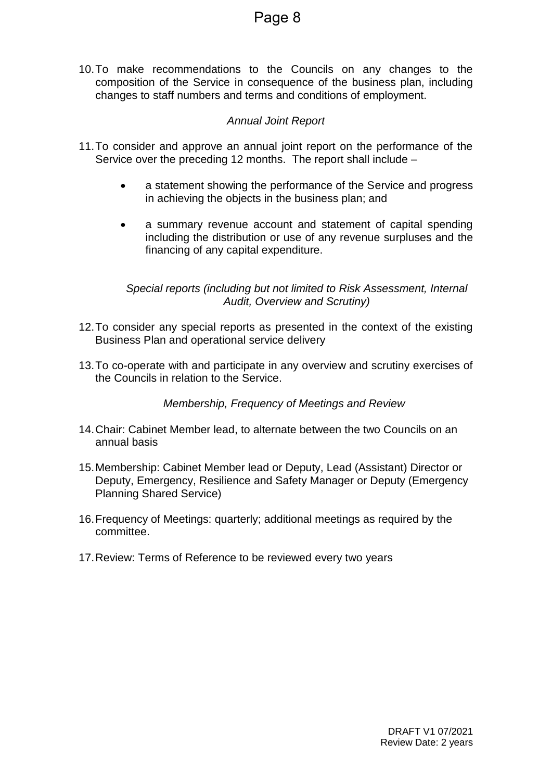10.To make recommendations to the Councils on any changes to the composition of the Service in consequence of the business plan, including changes to staff numbers and terms and conditions of employment.

# *Annual Joint Report*

- 11.To consider and approve an annual joint report on the performance of the Service over the preceding 12 months. The report shall include –
	- a statement showing the performance of the Service and progress in achieving the objects in the business plan; and
	- a summary revenue account and statement of capital spending including the distribution or use of any revenue surpluses and the financing of any capital expenditure.

*Special reports (including but not limited to Risk Assessment, Internal Audit, Overview and Scrutiny)* 

- 12.To consider any special reports as presented in the context of the existing Business Plan and operational service delivery
- 13.To co-operate with and participate in any overview and scrutiny exercises of the Councils in relation to the Service.

*Membership, Frequency of Meetings and Review*

- 14.Chair: Cabinet Member lead, to alternate between the two Councils on an annual basis
- 15.Membership: Cabinet Member lead or Deputy, Lead (Assistant) Director or Deputy, Emergency, Resilience and Safety Manager or Deputy (Emergency Planning Shared Service)
- 16.Frequency of Meetings: quarterly; additional meetings as required by the committee.
- 17.Review: Terms of Reference to be reviewed every two years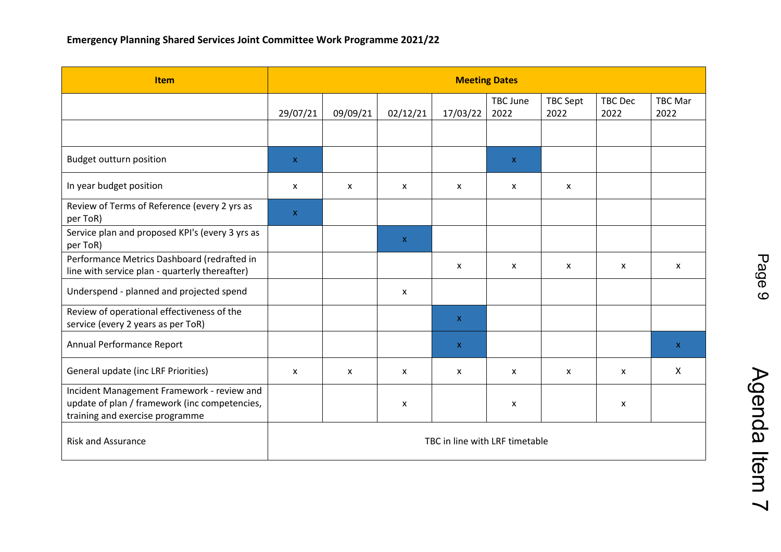| <b>Item</b>                                                                                                                    | <b>Meeting Dates</b>           |          |                           |             |                  |                           |                        |                        |
|--------------------------------------------------------------------------------------------------------------------------------|--------------------------------|----------|---------------------------|-------------|------------------|---------------------------|------------------------|------------------------|
|                                                                                                                                | 29/07/21                       | 09/09/21 |                           | 17/03/22    | TBC June<br>2022 | TBC Sept<br>2022          | <b>TBC Dec</b><br>2022 | <b>TBC Mar</b><br>2022 |
|                                                                                                                                |                                |          | 02/12/21                  |             |                  |                           |                        |                        |
| <b>Budget outturn position</b>                                                                                                 | $\mathsf{X}$                   |          |                           |             | $\mathsf{x}$     |                           |                        |                        |
| In year budget position                                                                                                        | X                              | X        | X                         | X           | X                | $\boldsymbol{\mathsf{x}}$ |                        |                        |
| Review of Terms of Reference (every 2 yrs as<br>per ToR)                                                                       | $\mathsf X$                    |          |                           |             |                  |                           |                        |                        |
| Service plan and proposed KPI's (every 3 yrs as<br>per ToR)                                                                    |                                |          | $\mathbf{x}$              |             |                  |                           |                        |                        |
| Performance Metrics Dashboard (redrafted in<br>line with service plan - quarterly thereafter)                                  |                                |          |                           | X           | X                | $\mathsf{x}$              | X                      | X                      |
| Underspend - planned and projected spend                                                                                       |                                |          | $\boldsymbol{\mathsf{x}}$ |             |                  |                           |                        |                        |
| Review of operational effectiveness of the<br>service (every 2 years as per ToR)                                               |                                |          |                           | $\mathsf X$ |                  |                           |                        |                        |
| Annual Performance Report                                                                                                      |                                |          |                           | $\mathsf X$ |                  |                           |                        | $\mathsf{X}$           |
| General update (inc LRF Priorities)                                                                                            | X                              | X        | X                         | X           | X                | X                         | X                      | X                      |
| Incident Management Framework - review and<br>update of plan / framework (inc competencies,<br>training and exercise programme |                                |          | X                         |             | X                |                           | X                      |                        |
| <b>Risk and Assurance</b>                                                                                                      | TBC in line with LRF timetable |          |                           |             |                  |                           |                        |                        |

Agenda Item 7 Agenda Item 7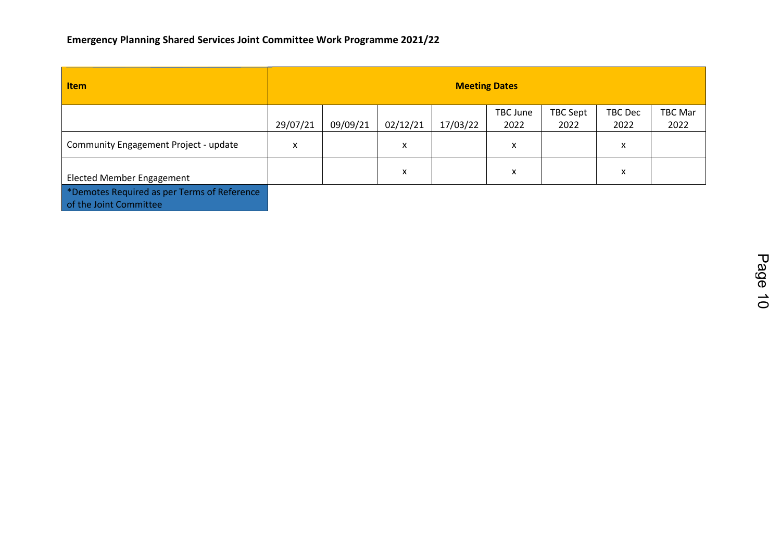# **Emergency Planning Shared Services Joint Committee Work Programme 2021/22**

| <b>Item</b>                                                           | <b>Meeting Dates</b> |          |          |          |                  |                  |                 |                 |
|-----------------------------------------------------------------------|----------------------|----------|----------|----------|------------------|------------------|-----------------|-----------------|
|                                                                       | 29/07/21             | 09/09/21 | 02/12/21 | 17/03/22 | TBC June<br>2022 | TBC Sept<br>2022 | TBC Dec<br>2022 | TBC Mar<br>2022 |
| Community Engagement Project - update                                 | X                    |          | x        |          | x                |                  | x               |                 |
| Elected Member Engagement                                             |                      |          | X        |          | x                |                  | x               |                 |
| *Demotes Required as per Terms of Reference<br>of the Joint Committee |                      |          |          |          |                  |                  |                 |                 |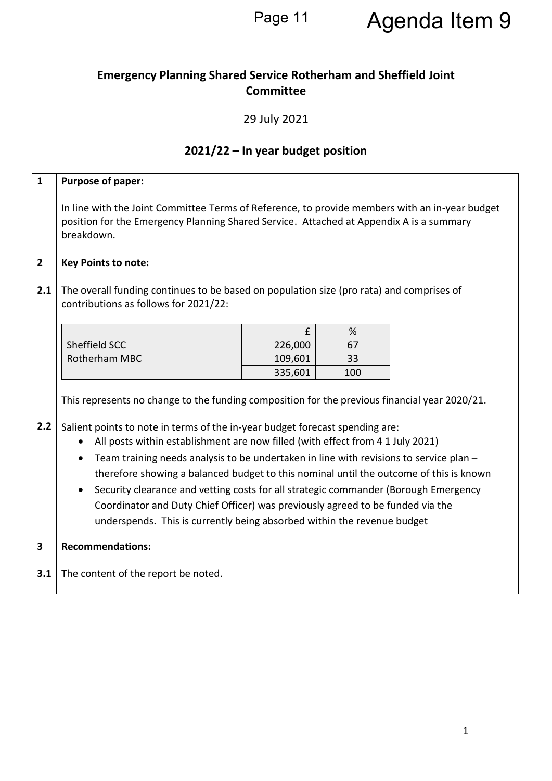Page 11 Agenda Item 9

# **Emergency Planning Shared Service Rotherham and Sheffield Joint Committee**

29 July 2021

# **2021/22 – In year budget position**

| $\mathbf{1}$            | Purpose of paper:                                                                                                                                                                                                                                                                                                                                                                                                                                                                                                                                                                                                                                                                                                    |                    |           |  |  |  |  |  |
|-------------------------|----------------------------------------------------------------------------------------------------------------------------------------------------------------------------------------------------------------------------------------------------------------------------------------------------------------------------------------------------------------------------------------------------------------------------------------------------------------------------------------------------------------------------------------------------------------------------------------------------------------------------------------------------------------------------------------------------------------------|--------------------|-----------|--|--|--|--|--|
|                         | In line with the Joint Committee Terms of Reference, to provide members with an in-year budget<br>position for the Emergency Planning Shared Service. Attached at Appendix A is a summary<br>breakdown.                                                                                                                                                                                                                                                                                                                                                                                                                                                                                                              |                    |           |  |  |  |  |  |
| $\overline{2}$          | <b>Key Points to note:</b>                                                                                                                                                                                                                                                                                                                                                                                                                                                                                                                                                                                                                                                                                           |                    |           |  |  |  |  |  |
| 2.1                     | The overall funding continues to be based on population size (pro rata) and comprises of<br>contributions as follows for 2021/22:                                                                                                                                                                                                                                                                                                                                                                                                                                                                                                                                                                                    |                    |           |  |  |  |  |  |
|                         |                                                                                                                                                                                                                                                                                                                                                                                                                                                                                                                                                                                                                                                                                                                      | £                  | %         |  |  |  |  |  |
|                         | Sheffield SCC                                                                                                                                                                                                                                                                                                                                                                                                                                                                                                                                                                                                                                                                                                        | 226,000            | 67        |  |  |  |  |  |
|                         | Rotherham MBC                                                                                                                                                                                                                                                                                                                                                                                                                                                                                                                                                                                                                                                                                                        | 109,601<br>335,601 | 33<br>100 |  |  |  |  |  |
| 2.2                     | This represents no change to the funding composition for the previous financial year 2020/21.<br>Salient points to note in terms of the in-year budget forecast spending are:<br>All posts within establishment are now filled (with effect from 4 1 July 2021)<br>Team training needs analysis to be undertaken in line with revisions to service plan -<br>$\bullet$<br>therefore showing a balanced budget to this nominal until the outcome of this is known<br>Security clearance and vetting costs for all strategic commander (Borough Emergency<br>Coordinator and Duty Chief Officer) was previously agreed to be funded via the<br>underspends. This is currently being absorbed within the revenue budget |                    |           |  |  |  |  |  |
| $\overline{\mathbf{3}}$ | <b>Recommendations:</b>                                                                                                                                                                                                                                                                                                                                                                                                                                                                                                                                                                                                                                                                                              |                    |           |  |  |  |  |  |
| 3.1                     | The content of the report be noted.                                                                                                                                                                                                                                                                                                                                                                                                                                                                                                                                                                                                                                                                                  |                    |           |  |  |  |  |  |